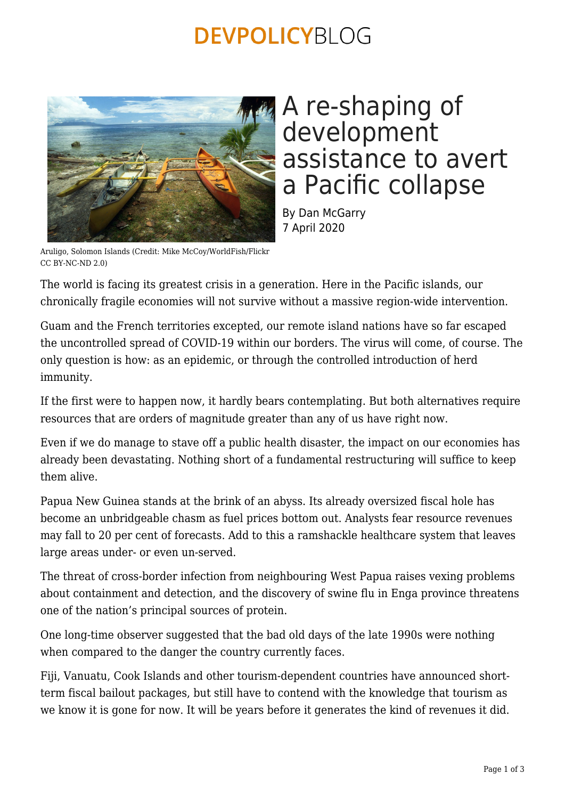### **DEVPOLICYBLOG**



### A re-shaping of development assistance to avert a Pacific collapse

By Dan McGarry 7 April 2020

Aruligo, Solomon Islands (Credit: Mike McCoy/WorldFish/Flickr CC BY-NC-ND 2.0)

The world is facing its greatest crisis in a generation. Here in the Pacific islands, our chronically fragile economies will not survive without a massive region-wide intervention.

Guam and the French territories excepted, our remote island nations have so far escaped the uncontrolled spread of COVID-19 within our borders. The virus will come, of course. The only question is how: as an epidemic, or through the controlled introduction of herd immunity.

If the first were to happen now, it hardly bears contemplating. But both alternatives require resources that are orders of magnitude greater than any of us have right now.

Even if we do manage to stave off a public health disaster, the impact on our economies has already been devastating. Nothing short of a fundamental restructuring will suffice to keep them alive.

Papua New Guinea stands at the brink of an abyss. Its already oversized fiscal hole has become an unbridgeable chasm as fuel prices bottom out. Analysts fear resource revenues may fall to 20 per cent of forecasts. Add to this a ramshackle healthcare system that leaves large areas under- or even un-served.

The threat of cross-border infection from neighbouring West Papua raises vexing problems about containment and detection, and the discovery of swine flu in Enga province threatens one of the nation's principal sources of protein.

One long-time observer suggested that the bad old days of the late 1990s were nothing when compared to the danger the country currently faces.

Fiji, Vanuatu, Cook Islands and other tourism-dependent countries have announced shortterm fiscal bailout packages, but still have to contend with the knowledge that tourism as we know it is gone for now. It will be years before it generates the kind of revenues it did.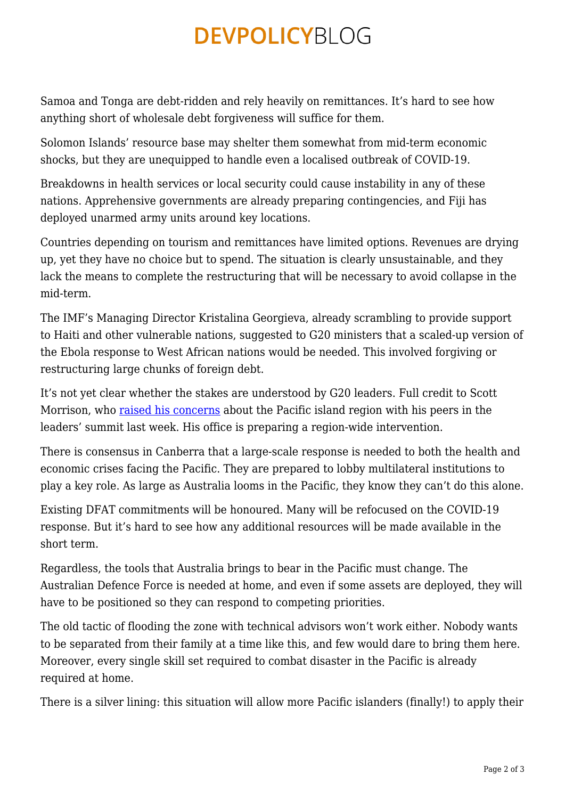# **DEVPOLICYBLOG**

Samoa and Tonga are debt-ridden and rely heavily on remittances. It's hard to see how anything short of wholesale debt forgiveness will suffice for them.

Solomon Islands' resource base may shelter them somewhat from mid-term economic shocks, but they are unequipped to handle even a localised outbreak of COVID-19.

Breakdowns in health services or local security could cause instability in any of these nations. Apprehensive governments are already preparing contingencies, and Fiji has deployed unarmed army units around key locations.

Countries depending on tourism and remittances have limited options. Revenues are drying up, yet they have no choice but to spend. The situation is clearly unsustainable, and they lack the means to complete the restructuring that will be necessary to avoid collapse in the mid-term.

The IMF's Managing Director Kristalina Georgieva, already scrambling to provide support to Haiti and other vulnerable nations, suggested to G20 ministers that a scaled-up version of the Ebola response to West African nations would be needed. This involved forgiving or restructuring large chunks of foreign debt.

It's not yet clear whether the stakes are understood by G20 leaders. Full credit to Scott Morrison, who [raised his concerns](https://www.pm.gov.au/media/extraordinary-g20-leaders-summit) about the Pacific island region with his peers in the leaders' summit last week. His office is preparing a region-wide intervention.

There is consensus in Canberra that a large-scale response is needed to both the health and economic crises facing the Pacific. They are prepared to lobby multilateral institutions to play a key role. As large as Australia looms in the Pacific, they know they can't do this alone.

Existing DFAT commitments will be honoured. Many will be refocused on the COVID-19 response. But it's hard to see how any additional resources will be made available in the short term.

Regardless, the tools that Australia brings to bear in the Pacific must change. The Australian Defence Force is needed at home, and even if some assets are deployed, they will have to be positioned so they can respond to competing priorities.

The old tactic of flooding the zone with technical advisors won't work either. Nobody wants to be separated from their family at a time like this, and few would dare to bring them here. Moreover, every single skill set required to combat disaster in the Pacific is already required at home.

There is a silver lining: this situation will allow more Pacific islanders (finally!) to apply their